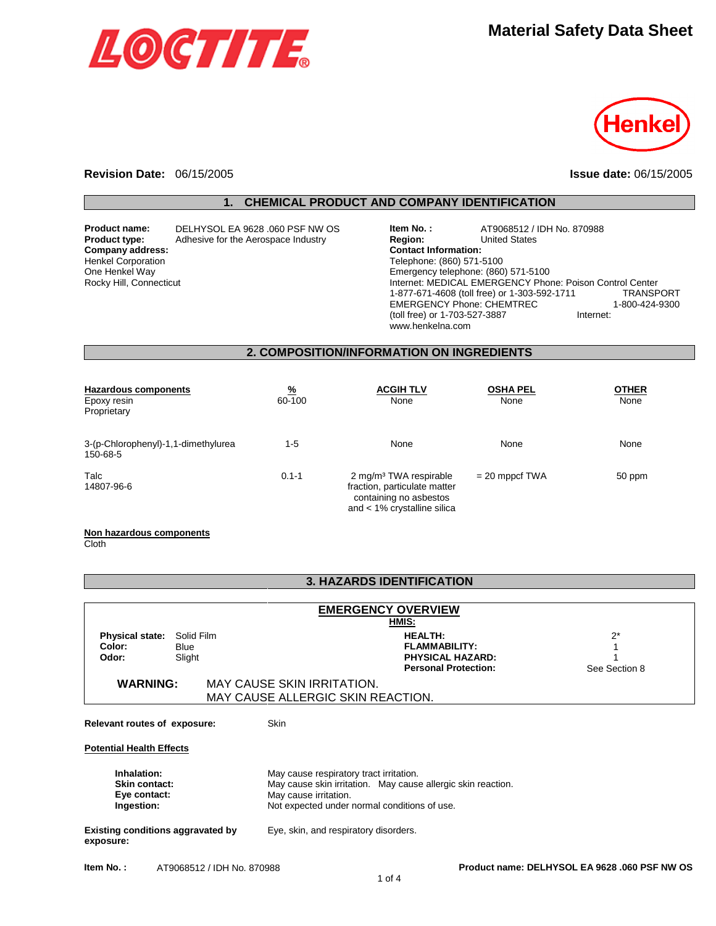



#### **Revision Date:** 06/15/2005 **Issue date:** 06/15/2005

### **1. CHEMICAL PRODUCT AND COMPANY IDENTIFICATION**

**Company address:** Henkel Corporation One Henkel Way Rocky Hill, Connecticut

**Product name:** DELHYSOL EA 9628 .060 PSF NW OS **Product type:** Adhesive for the Aerospace Industry

| Item No.:                                    | AT9068512 / IDH No. 870988 |                                                          |  |
|----------------------------------------------|----------------------------|----------------------------------------------------------|--|
| <b>Region:</b>                               | <b>United States</b>       |                                                          |  |
| <b>Contact Information:</b>                  |                            |                                                          |  |
| Telephone: (860) 571-5100                    |                            |                                                          |  |
| Emergency telephone: (860) 571-5100          |                            |                                                          |  |
|                                              |                            | Internet: MEDICAL EMERGENCY Phone: Poison Control Center |  |
| 1-877-671-4608 (toll free) or 1-303-592-1711 |                            | <b>TRANSPORT</b>                                         |  |
| <b>EMERGENCY Phone: CHEMTREC</b>             |                            | 1-800-424-9300                                           |  |
| (toll free) or 1-703-527-3887                |                            | Internet:                                                |  |
| www.henkelna.com                             |                            |                                                          |  |

#### **2. COMPOSITION/INFORMATION ON INGREDIENTS**

| Hazardous components<br>Epoxy resin<br>Proprietary | $\frac{9}{6}$<br>60-100 | <b>ACGIH TLV</b><br>None                                                                                                       | <b>OSHA PEL</b><br>None | <b>OTHER</b><br>None |
|----------------------------------------------------|-------------------------|--------------------------------------------------------------------------------------------------------------------------------|-------------------------|----------------------|
| 3-(p-Chlorophenyl)-1,1-dimethylurea<br>150-68-5    | $1-5$                   | None                                                                                                                           | None                    | None                 |
| Talc<br>14807-96-6                                 | $0.1 - 1$               | 2 mg/m <sup>3</sup> TWA respirable<br>fraction, particulate matter<br>containing no asbestos<br>and $< 1\%$ crystalline silica | $= 20$ mppcf TWA        | 50 ppm               |

#### **Non hazardous components**

**Cloth** 

### **3. HAZARDS IDENTIFICATION**

| <b>EMERGENCY OVERVIEW</b>                                         |                                   |  |                                                                                                                                                                                  |                                                                                                  |                        |  |
|-------------------------------------------------------------------|-----------------------------------|--|----------------------------------------------------------------------------------------------------------------------------------------------------------------------------------|--------------------------------------------------------------------------------------------------|------------------------|--|
| HMIS:                                                             |                                   |  |                                                                                                                                                                                  |                                                                                                  |                        |  |
| <b>Physical state:</b><br>Color:<br>Odor:                         | Solid Film<br>Blue<br>Slight      |  |                                                                                                                                                                                  | <b>HEALTH:</b><br><b>FLAMMABILITY:</b><br><b>PHYSICAL HAZARD:</b><br><b>Personal Protection:</b> | $2^*$<br>See Section 8 |  |
| <b>WARNING:</b>                                                   |                                   |  | MAY CAUSE SKIN IRRITATION.                                                                                                                                                       |                                                                                                  |                        |  |
|                                                                   | MAY CAUSE ALLERGIC SKIN REACTION. |  |                                                                                                                                                                                  |                                                                                                  |                        |  |
| Relevant routes of exposure:<br><b>Potential Health Effects</b>   |                                   |  | Skin                                                                                                                                                                             |                                                                                                  |                        |  |
| Inhalation:<br><b>Skin contact:</b><br>Eye contact:<br>Ingestion: |                                   |  | May cause respiratory tract irritation.<br>May cause skin irritation. May cause allergic skin reaction.<br>May cause irritation.<br>Not expected under normal conditions of use. |                                                                                                  |                        |  |
| Existing conditions aggravated by<br>exposure:                    |                                   |  | Eye, skin, and respiratory disorders.                                                                                                                                            |                                                                                                  |                        |  |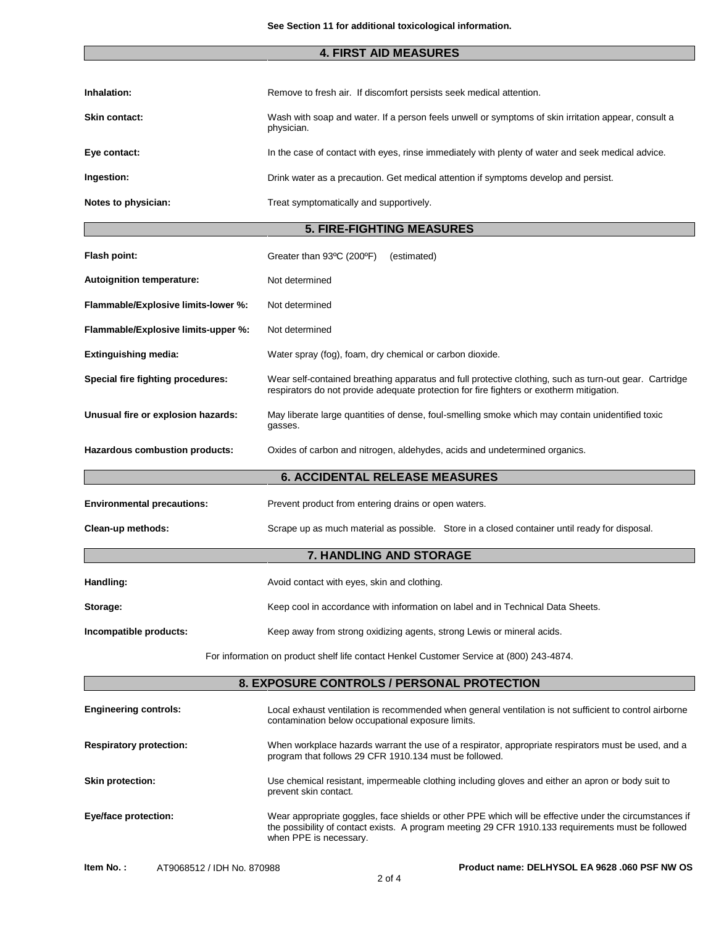# **4. FIRST AID MEASURES**

| Inhalation:          | Remove to fresh air. If discomfort persists seek medical attention.                                               |
|----------------------|-------------------------------------------------------------------------------------------------------------------|
| <b>Skin contact:</b> | Wash with soap and water. If a person feels unwell or symptoms of skin irritation appear, consult a<br>physician. |
| Eye contact:         | In the case of contact with eyes, rinse immediately with plenty of water and seek medical advice.                 |
| Ingestion:           | Drink water as a precaution. Get medical attention if symptoms develop and persist.                               |
| Notes to physician:  | Treat symptomatically and supportively.                                                                           |

### **5. FIRE-FIGHTING MEASURES**

| Flash point:                        | Greater than 93°C (200°F)<br>(estimated)                                                                                                                                                           |  |
|-------------------------------------|----------------------------------------------------------------------------------------------------------------------------------------------------------------------------------------------------|--|
| Autoignition temperature:           | Not determined                                                                                                                                                                                     |  |
| Flammable/Explosive limits-lower %: | Not determined                                                                                                                                                                                     |  |
| Flammable/Explosive limits-upper %: | Not determined                                                                                                                                                                                     |  |
| <b>Extinguishing media:</b>         | Water spray (fog), foam, dry chemical or carbon dioxide.                                                                                                                                           |  |
| Special fire fighting procedures:   | Wear self-contained breathing apparatus and full protective clothing, such as turn-out gear. Cartridge<br>respirators do not provide adequate protection for fire fighters or exotherm mitigation. |  |
| Unusual fire or explosion hazards:  | May liberate large quantities of dense, foul-smelling smoke which may contain unidentified toxic<br>gasses.                                                                                        |  |
| Hazardous combustion products:      | Oxides of carbon and nitrogen, aldehydes, acids and undetermined organics.                                                                                                                         |  |
|                                     | <b>6. ACCIDENTAL RELEASE MEASURES</b>                                                                                                                                                              |  |
| <b>Environmental precautions:</b>   | Prevent product from entering drains or open waters.                                                                                                                                               |  |
| Clean-up methods:                   | Scrape up as much material as possible. Store in a closed container until ready for disposal.                                                                                                      |  |
| <b>7. HANDLING AND STORAGE</b>      |                                                                                                                                                                                                    |  |
| Handling:                           | Avoid contact with eyes, skin and clothing.                                                                                                                                                        |  |
| Storage:                            | Keep cool in accordance with information on label and in Technical Data Sheets.                                                                                                                    |  |
| Incompatible products:              | Keep away from strong oxidizing agents, strong Lewis or mineral acids.                                                                                                                             |  |

For information on product shelf life contact Henkel Customer Service at (800) 243-4874.

| 8. EXPOSURE CONTROLS / PERSONAL PROTECTION |                                                                                                                                                                                                                                        |  |
|--------------------------------------------|----------------------------------------------------------------------------------------------------------------------------------------------------------------------------------------------------------------------------------------|--|
| <b>Engineering controls:</b>               | Local exhaust ventilation is recommended when general ventilation is not sufficient to control airborne<br>contamination below occupational exposure limits.                                                                           |  |
| <b>Respiratory protection:</b>             | When workplace hazards warrant the use of a respirator, appropriate respirators must be used, and a<br>program that follows 29 CFR 1910.134 must be followed.                                                                          |  |
| <b>Skin protection:</b>                    | Use chemical resistant, impermeable clothing including gloves and either an apron or body suit to<br>prevent skin contact.                                                                                                             |  |
| Eye/face protection:                       | Wear appropriate goggles, face shields or other PPE which will be effective under the circumstances if<br>the possibility of contact exists. A program meeting 29 CFR 1910.133 requirements must be followed<br>when PPE is necessary. |  |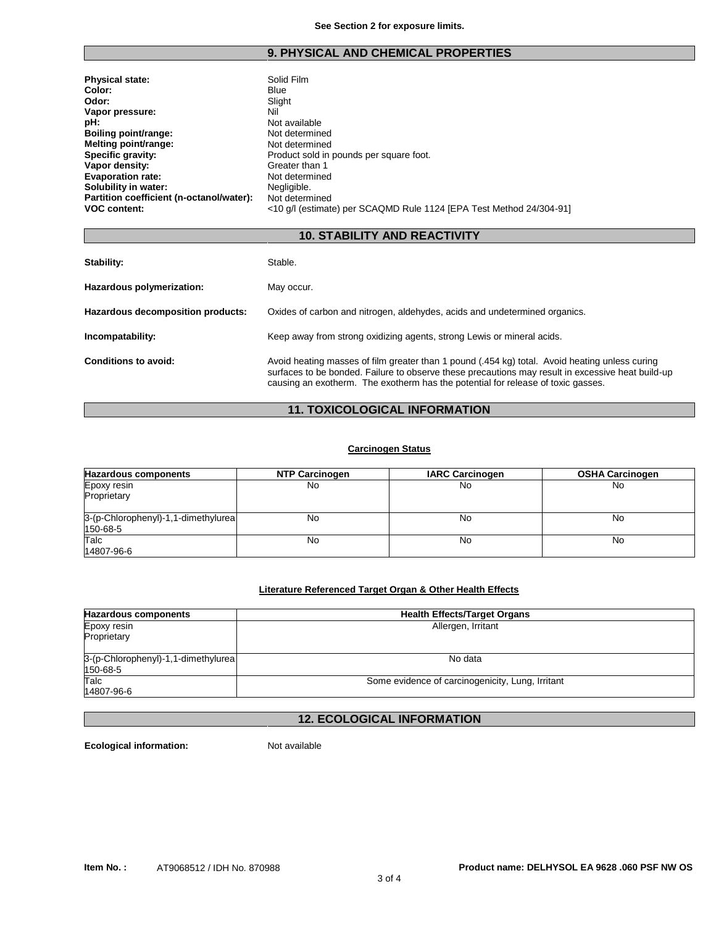### **9. PHYSICAL AND CHEMICAL PROPERTIES**

| <b>Physical state:</b>                   | Solid Film                                                          |
|------------------------------------------|---------------------------------------------------------------------|
| Color:                                   | <b>Blue</b>                                                         |
| Odor:                                    | Slight                                                              |
| Vapor pressure:                          | Nil                                                                 |
| pH:                                      | Not available                                                       |
| Boiling point/range:                     | Not determined                                                      |
| Melting point/range:                     | Not determined                                                      |
| Specific gravity:                        | Product sold in pounds per square foot.                             |
| Vapor density:                           | Greater than 1                                                      |
| <b>Evaporation rate:</b>                 | Not determined                                                      |
| Solubility in water:                     | Negligible.                                                         |
| Partition coefficient (n-octanol/water): | Not determined                                                      |
| <b>VOC content:</b>                      | <10 g/l (estimate) per SCAQMD Rule 1124 [EPA Test Method 24/304-91] |

### **10. STABILITY AND REACTIVITY**

| Stability:                        | Stable.                                                                                                                                                                                                                                                                                 |
|-----------------------------------|-----------------------------------------------------------------------------------------------------------------------------------------------------------------------------------------------------------------------------------------------------------------------------------------|
| Hazardous polymerization:         | May occur.                                                                                                                                                                                                                                                                              |
| Hazardous decomposition products: | Oxides of carbon and nitrogen, aldehydes, acids and undetermined organics.                                                                                                                                                                                                              |
| Incompatability:                  | Keep away from strong oxidizing agents, strong Lewis or mineral acids.                                                                                                                                                                                                                  |
| Conditions to avoid:              | Avoid heating masses of film greater than 1 pound (.454 kg) total. Avoid heating unless curing<br>surfaces to be bonded. Failure to observe these precautions may result in excessive heat build-up<br>causing an exotherm. The exotherm has the potential for release of toxic gasses. |

## **11. TOXICOLOGICAL INFORMATION**

### **Carcinogen Status**

| <b>Hazardous components</b>                     | NTP Carcinogen | <b>IARC Carcinogen</b> | <b>OSHA Carcinogen</b> |
|-------------------------------------------------|----------------|------------------------|------------------------|
| Epoxy resin<br>Proprietary                      | No             | No                     | No                     |
| 3-(p-Chlorophenyl)-1,1-dimethylurea<br>150-68-5 | No             | No                     | No                     |
| Talc<br>14807-96-6                              | No             | No                     | No                     |

### **Literature Referenced Target Organ & Other Health Effects**

| <b>Hazardous components</b>                     | <b>Health Effects/Target Organs</b>              |
|-------------------------------------------------|--------------------------------------------------|
| Epoxy resin                                     | Allergen, Irritant                               |
| Proprietary                                     |                                                  |
| 3-(p-Chlorophenyl)-1,1-dimethylurea<br>150-68-5 | No data                                          |
| Talc<br>14807-96-6                              | Some evidence of carcinogenicity, Lung, Irritant |

# **12. ECOLOGICAL INFORMATION**

3 of 4

**Ecological information:** Not available